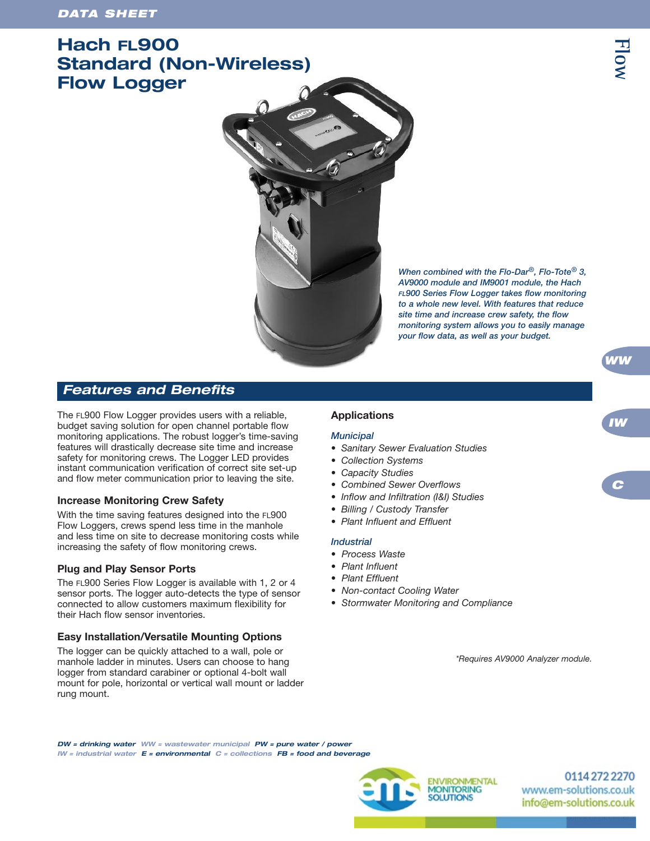# **Hach FL900 Standard (Non-Wireless) Flow Logger**



*When combined with the Flo-Dar®, Flo-Tote® 3, AV9000 module and IM9001 module, the Hach FL900 Series Flow Logger takes flow monitoring to a whole new level. With features that reduce site time and increase crew safety, the flow monitoring system allows you to easily manage your flow data, as well as your budget.*

## *Features and Benefits*

The FL900 Flow Logger provides users with a reliable, budget saving solution for open channel portable flow monitoring applications. The robust logger's time-saving features will drastically decrease site time and increase safety for monitoring crews. The Logger LED provides instant communication verification of correct site set-up and flow meter communication prior to leaving the site.

## **Increase Monitoring Crew Safety**

With the time saving features designed into the FL900 Flow Loggers, crews spend less time in the manhole and less time on site to decrease monitoring costs while increasing the safety of flow monitoring crews.

## **Plug and Play Sensor Ports**

The FL900 Series Flow Logger is available with 1, 2 or 4 sensor ports. The logger auto-detects the type of sensor connected to allow customers maximum flexibility for their Hach flow sensor inventories.

## **Easy Installation/Versatile Mounting Options**

The logger can be quickly attached to a wall, pole or manhole ladder in minutes. Users can choose to hang logger from standard carabiner or optional 4-bolt wall mount for pole, horizontal or vertical wall mount or ladder rung mount.

## **Applications**

## *Municipal*

- *Sanitary Sewer Evaluation Studies*
- *Collection Systems*
- *Capacity Studies*
- *Combined Sewer Overflows*
- *Inflow and Infiltration (I&I) Studies*
- *Billing / Custody Transfer*
- *Plant Influent and Effluent*

#### *Industrial*

- *Process Waste*
- *Plant Influent*
- *Plant Effluent*
- *Non-contact Cooling Water*
- *Stormwater Monitoring and Compliance*

*\*Requires AV9000 Analyzer module.*

*DW = drinking water WW = wastewater municipal PW = pure water / power IW = industrial water E = environmental C = collections FB = food and beverage*



01142722270 www.em-solutions.co.uk info@em-solutions.co.uk

**Flow**

*WW*

*C*

*IW*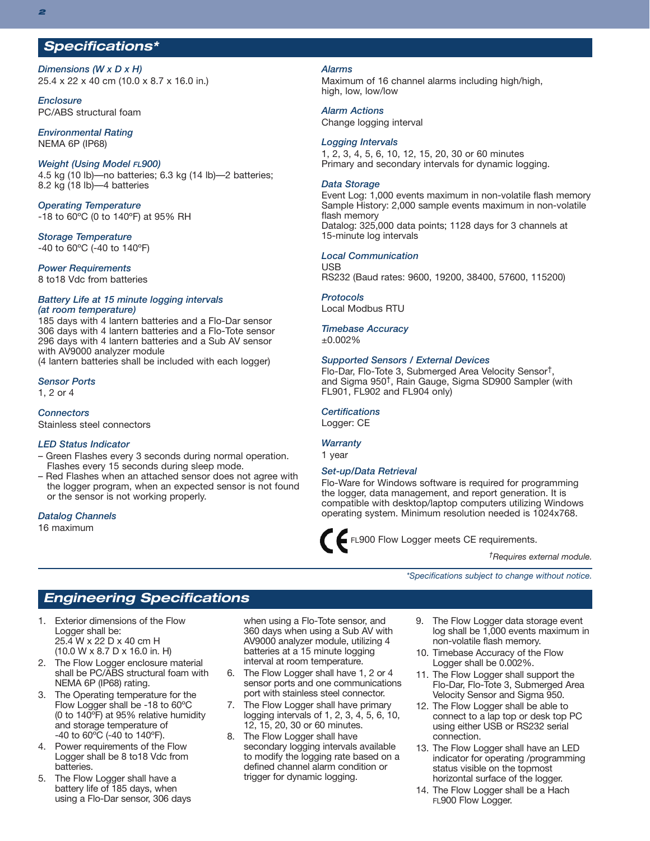## *Specifications\**

*Dimensions (W x D x H)* 25.4 x 22 x 40 cm (10.0 x 8.7 x 16.0 in.)

*Enclosure* PC/ABS structural foam

*Environmental Rating* NEMA 6P (IP68)

#### *Weight (Using Model FL900)*

4.5 kg (10 lb)—no batteries; 6.3 kg (14 lb)—2 batteries; 8.2 kg (18 lb)—4 batteries

*Operating Temperature* -18 to 60ºC (0 to 140ºF) at 95% RH

*Storage Temperature* -40 to 60ºC (-40 to 140ºF)

#### *Power Requirements*

8 to18 Vdc from batteries

#### *Battery Life at 15 minute logging intervals (at room temperature)*

 days with 4 lantern batteries and a Flo-Dar sensor days with 4 lantern batteries and a Flo-Tote sensor days with 4 lantern batteries and a Sub AV sensor with AV9000 analyzer module

(4 lantern batteries shall be included with each logger)

#### *Sensor Ports*

1, 2 or 4

*Connectors*

Stainless steel connectors

#### *LED Status Indicator*

- Green Flashes every 3 seconds during normal operation. Flashes every 15 seconds during sleep mode.
- Red Flashes when an attached sensor does not agree with the logger program, when an expected sensor is not found or the sensor is not working properly.

#### *Datalog Channels*

16 maximum

#### *Alarms*

Maximum of 16 channel alarms including high/high, high, low, low/low

*Alarm Actions*

Change logging interval

#### *Logging Intervals*

1, 2, 3, 4, 5, 6, 10, 12, 15, 20, 30 or 60 minutes Primary and secondary intervals for dynamic logging.

#### *Data Storage*

Event Log: 1,000 events maximum in non-volatile flash memory Sample History: 2,000 sample events maximum in non-volatile flash memory Datalog: 325,000 data points; 1128 days for 3 channels at 15-minute log intervals

#### *Local Communication*

**USB** RS232 (Baud rates: 9600, 19200, 38400, 57600, 115200)

*Protocols*

Local Modbus RTU

#### *Timebase Accuracy*

±0.002%

#### *Supported Sensors / External Devices*

Flo-Dar, Flo-Tote 3, Submerged Area Velocity Sensor†, and Sigma 950†, Rain Gauge, Sigma SD900 Sampler (with FL901, FL902 and FL904 only)

#### *Certifications*

Logger: CE

### *Warranty*

1 year

#### *Set-up/Data Retrieval*

Flo-Ware for Windows software is required for programming the logger, data management, and report generation. It is compatible with desktop/laptop computers utilizing Windows operating system. Minimum resolution needed is 1024x768.

FL900 Flow Logger meets CE requirements.

*†Requires external module.*

*\*Specifications subject to change without notice.*

## *Engineering Specifications*

- 1. Exterior dimensions of the Flow Logger shall be: 25.4 W x 22 D x 40 cm H (10.0 W x 8.7 D x 16.0 in. H)
- 2. The Flow Logger enclosure material shall be PC/ABS structural foam with NEMA 6P (IP68) rating.
- 3. The Operating temperature for the Flow Logger shall be -18 to 60ºC (0 to 140ºF) at 95% relative humidity and storage temperature of  $-40$  to  $60^{\circ}$ C ( $-40$  to  $140^{\circ}$ F).
- 4. Power requirements of the Flow Logger shall be 8 to18 Vdc from batteries.
- 5. The Flow Logger shall have a battery life of 185 days, when using a Flo-Dar sensor, 306 days

when using a Flo-Tote sensor, and 360 days when using a Sub AV with AV9000 analyzer module, utilizing 4 batteries at a 15 minute logging interval at room temperature.

- 6. The Flow Logger shall have 1, 2 or 4 sensor ports and one communications port with stainless steel connector.
- 7. The Flow Logger shall have primary logging intervals of 1, 2, 3, 4, 5, 6, 10, 12, 15, 20, 30 or 60 minutes.
- 8. The Flow Logger shall have secondary logging intervals available to modify the logging rate based on a defined channel alarm condition or trigger for dynamic logging.
- 9. The Flow Logger data storage event log shall be 1,000 events maximum in non-volatile flash memory.
- 10. Timebase Accuracy of the Flow Logger shall be 0.002%.
- 11. The Flow Logger shall support the Flo-Dar, Flo-Tote 3, Submerged Area Velocity Sensor and Sigma 950.
- 12. The Flow Logger shall be able to connect to a lap top or desk top PC using either USB or RS232 serial connection.
- 13. The Flow Logger shall have an LED indicator for operating /programming status visible on the topmost horizontal surface of the logger.
- 14. The Flow Logger shall be a Hach FL900 Flow Logger.

*2*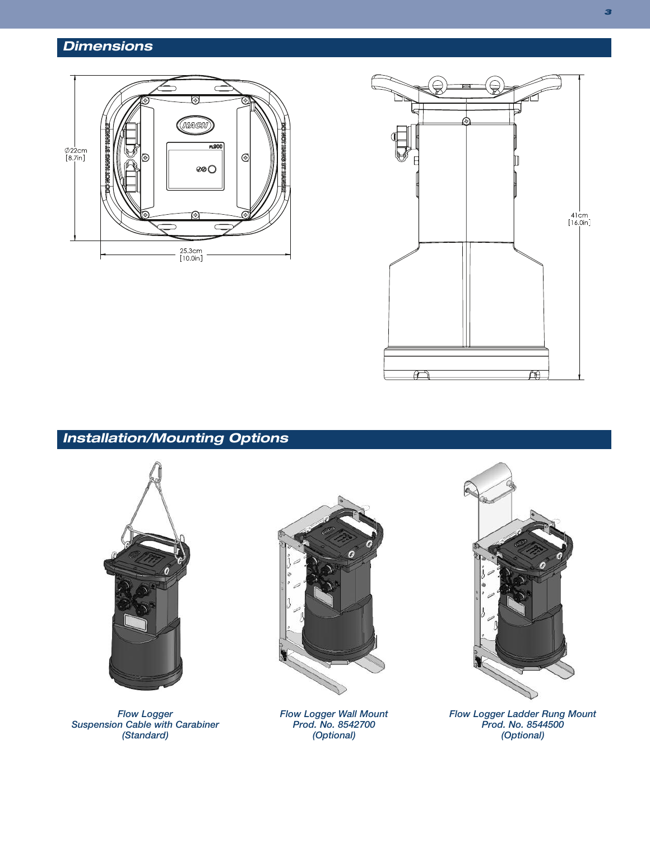# *Dimensions*





# *Installation/Mounting Options*



*Flow Logger Suspension Cable with Carabiner (Standard)*



*Flow Logger Wall Mount Prod. No. 8542700 (Optional)*



*Flow Logger Ladder Rung Mount Prod. No. 8544500 (Optional)*